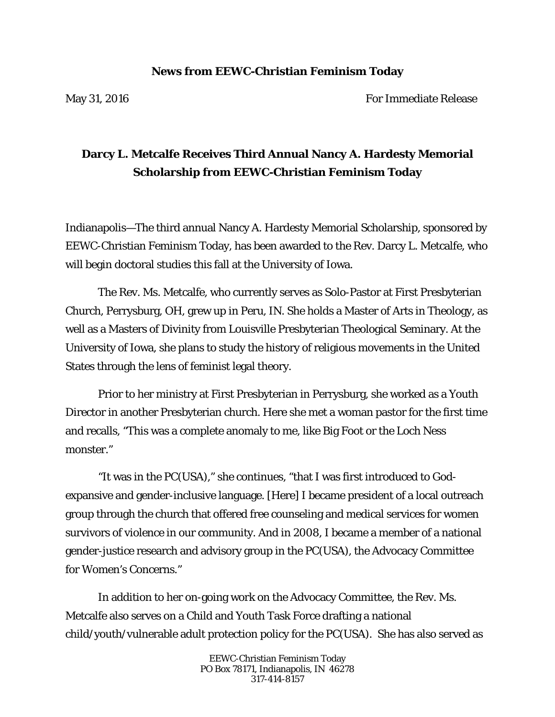## **News from EEWC-Christian Feminism Today**

May 31, 2016 **For Immediate Release** 

## **Darcy L. Metcalfe Receives Third Annual Nancy A. Hardesty Memorial Scholarship from EEWC-Christian Feminism Today**

Indianapolis—The third annual Nancy A. Hardesty Memorial Scholarship, sponsored by EEWC-Christian Feminism Today, has been awarded to the Rev. Darcy L. Metcalfe, who will begin doctoral studies this fall at the University of Iowa.

 The Rev. Ms. Metcalfe, who currently serves as Solo-Pastor at First Presbyterian Church, Perrysburg, OH, grew up in Peru, IN. She holds a Master of Arts in Theology, as well as a Masters of Divinity from Louisville Presbyterian Theological Seminary. At the University of Iowa, she plans to study the history of religious movements in the United States through the lens of feminist legal theory.

Prior to her ministry at First Presbyterian in Perrysburg, she worked as a Youth Director in another Presbyterian church. Here she met a woman pastor for the first time and recalls, "This was a complete anomaly to me, like Big Foot or the Loch Ness monster."

"It was in the PC(USA)," she continues, "that I was first introduced to Godexpansive and gender-inclusive language. [Here] I became president of a local outreach group through the church that offered free counseling and medical services for women survivors of violence in our community. And in 2008, I became a member of a national gender-justice research and advisory group in the PC(USA), the Advocacy Committee for Women's Concerns."

In addition to her on-going work on the Advocacy Committee, the Rev. Ms. Metcalfe also serves on a Child and Youth Task Force drafting a national child/youth/vulnerable adult protection policy for the PC(USA). She has also served as

> EEWC-Christian Feminism Today PO Box 78171, Indianapolis, IN 46278 317-414-8157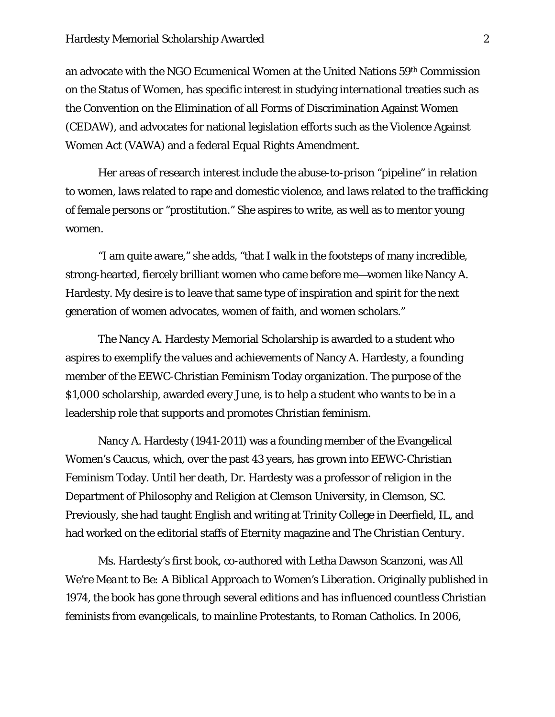an advocate with the NGO Ecumenical Women at the United Nations 59th Commission on the Status of Women, has specific interest in studying international treaties such as the Convention on the Elimination of all Forms of Discrimination Against Women (CEDAW), and advocates for national legislation efforts such as the Violence Against Women Act (VAWA) and a federal Equal Rights Amendment.

Her areas of research interest include the abuse-to-prison "pipeline" in relation to women, laws related to rape and domestic violence, and laws related to the trafficking of female persons or "prostitution." She aspires to write, as well as to mentor young women.

 "I am quite aware," she adds, "that I walk in the footsteps of many incredible, strong-hearted, fiercely brilliant women who came before me—women like Nancy A. Hardesty. My desire is to leave that same type of inspiration and spirit for the next generation of women advocates, women of faith, and women scholars."

 The Nancy A. Hardesty Memorial Scholarship is awarded to a student who aspires to exemplify the values and achievements of Nancy A. Hardesty, a founding member of the EEWC-Christian Feminism Today organization. The purpose of the \$1,000 scholarship, awarded every June, is to help a student who wants to be in a leadership role that supports and promotes Christian feminism.

Nancy A. Hardesty (1941-2011) was a founding member of the Evangelical Women's Caucus, which, over the past 43 years, has grown into EEWC-Christian Feminism Today. Until her death, Dr. Hardesty was a professor of religion in the Department of Philosophy and Religion at Clemson University, in Clemson, SC. Previously, she had taught English and writing at Trinity College in Deerfield, IL, and had worked on the editorial staffs of *Eternity* magazine and *The Christian Century.*

Ms. Hardesty's first book, co-authored with Letha Dawson Scanzoni, was *All We're Meant to Be: A Biblical Approach to Women's Liberation*. Originally published in 1974, the book has gone through several editions and has influenced countless Christian feminists from evangelicals, to mainline Protestants, to Roman Catholics. In 2006,